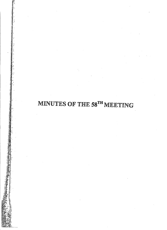# MINUTES OF THE 58<sup>TH</sup> MEETING

r

<sup>~</sup>'.,  $\frac{1}{2}$  .  $\blacksquare$ 

"<br>"<br>"

, o~ ",'0  $\pm$  . . &

j,

J~~

..~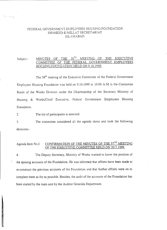## FEDERAL GOVERNMENT EMPLOYEES HOUSING FOUNDATION SHAHEED-E-MILLAT SECRETARIAT ISL.AMABAD

---------------------------~-~---------------- --

"-. -.J

## Subject:- MINUTES OF THE 58<sup>TH</sup> MEETING OF THE EXECUTIVE COMMITTEE OF THE FEDERAL GOVERNMENT EMPLOYEES HOUSING FOUNDATION HELD ON 9.10.1999.

The 58<sup>th</sup> meeting of the Executive Committee of the Federal Government Employees Housing Foundation was held on 9.10.1999 at 10.00 A.M in the Committee Room of the Works Division under the Chairmanship of the Secretary Ministry of Housing & Works/Chief Executive, Federal Government Employees Housing Foundation.

2. The list of participants is annexed.

3. decisions:- The committee considered all the agenda items and took the following

# Agenda Item No.I CONFIRMATION OF THE MINUTES OF THE 57<sup>TH</sup> MEETING OF THE EXECUTIVE COMMITTEE HELD ON 20.7.1999.

4. The Deputy Secretary, Ministry of Works wanted to know the position of the missing accounts of the Foundation. He was informed that efforts have been made to re-construct the previous accounts of the Foundation and that further efforts were on to complete them as for as possible. Besides, the audit of the accounts of the Foundation has been started by the team sent by the Auditor Generals Department.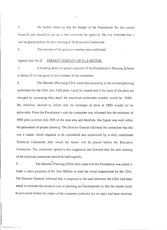5. He further observed that the budget of the Foundation for the current financial year should be put up to the committee for approval. He was informed that it will be placed before the next meeting of the Executive Committee.

6. The minutes of the previous meeting were confirmed.

Agenda Item No.II. PRESENT POSITION OF G-13 SECTOR.

7. A briefing about the present position of the Foundation's Housing Scheme in Sector G-13 was given to the members of the committee.

8. The Member (Planning) CDA stated that according to the revised planning undertaken by the CDA only 5200 plots would be created and if the sizes of the plots are changed by increasing their depth the maximum achievable number *would* be .5500/-. He, therefore, desired to inform that the estimates of plots at 5890 would not be achievable. From the Foundation's side the committee was informed that the estimates of 5890 plots covered only 30% of the total area and therefore, this figure was *well* within the parameters of proper planning. The Director General informed the committee that this was a matter which required to be considered and scrutinized by a duly constituted Technical Committee after which the matter will be placed before the Executive Committee. The committee agreed to this suggestion and directed that the next meeting of the technical committee should be held urgently.

9. The Member Planning (CDA) also stated that the Foundation was asked to make a token payment of Rs. One Million to meet the initial expenditure by the CDA. The Director General informed that in response to the said reference the CDA had been asked to intimate the tentative cost of planning and development so that the matter could be processed further for orders of *the* competent authority *but* no *reply* had *been* received

 $\overline{c}$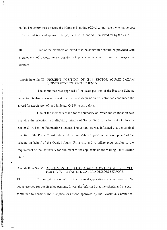so far. The committee directed the Member Planning (CDA) to intimate the tentative cost to the Foundation and approved the payment of Rs. one Million asked for by the CDA.

10. One of the members observed that the committee should be provided with a statement of category-wise position of payments received from the prospective allottees.

## Agenda Item No.III. PRESENT POSITION OF G-14 SECTOR (QUAID-I-AZAM UNIVERSITY HOUSING SCHEME).

11. The committee was apprised of the latest position of the Housing Scheme in Sector G-14/4. It was informed that the Land Acquisition Collector had announced the award for acquisition of land in Sector G-14/4 a day before.<br>I 2. One of the members asked for the authority on which the Foundation was

G-13. Sector G-14/4 to the Foundation allottees. The committee was informed that the original directive of the Prime Minister directed the Foundation to process the development of the applying the selection and eligibility criteria of Sector G-13 for allotment of plots in requirement of the University for allotment to the applicants on the waiting list of Sector scheme on behalf of the Quaid-i-Azam Uni versity and to utilize plots surplus to the

## Agenda Item No.IY. ALLOTMENT OF PLOTS AGAINST 1% QUOTA RESERVED FOR CIVIL SERVANTS DISABLED DURING SERVICE.

The committee was informed of the total applications received against  $1\%$ 13. quota reserved for the disabled persons. It was also informed that the criteria and the sub *committee* to consider these applications stood approved by the Executive Committee

 $\mathfrak{Z}$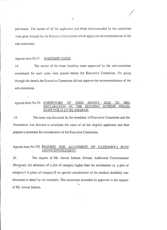previously. The names of all the applicants and those recommended by the committee were gone through by the Executive Committee which approved recommendations of the sub-committee.

#### Agenda Item No.V. HARDSHIP CASES.

14. The names of the three hardship cases approved by the sub-committee constituted for such cases were placed before the Executive Committee. On going through the details the Executive Committee did not approve the recommendations of the sub-committee.

## Agenda Item No.VI. FORFEITURE OF SEED MONEY DUE TION IN THE HOUSING SCHEME PHA III(SECTOR G-13) ISLAMABAD.

15. The issue was discussed by the members of Executive *Committee* and the Foundation was directed to scrutinize the cases of all the *eligible* applicants and then prepare a statement for consideration of the Executive Committee.

## Agenda Item No. VII. REQUEST FOR ALLOTMENT OF CATEGORY-I PLOT ABOVE ENTITLEMENT.

16.. The request of Mr. Anwar *Saleem* Ahmad, Additional Commissioner (Revenue), for allotment of a plot of category higher than his entitlement i.e. a plot of " category-I in place of category-II on special consideration of his medical disability was discussed in detail by the members. The committee accorded its approval to the request of Mr. Anwar Saleem.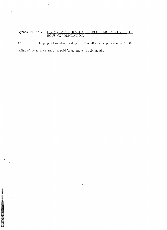#### Agenda Item No.VIII. <u>HIRING FACILITIES TO THE REGULAR EMPLOYEES</u> OF <u>HOUSING FOUNDATIC</u>

17. The proposal was discussed by the Committee and approved subject to the ceiling of the advance rent being paid for not more than six months.

"

**International Constitution**<br>International Constitution<br>International Constitution

1